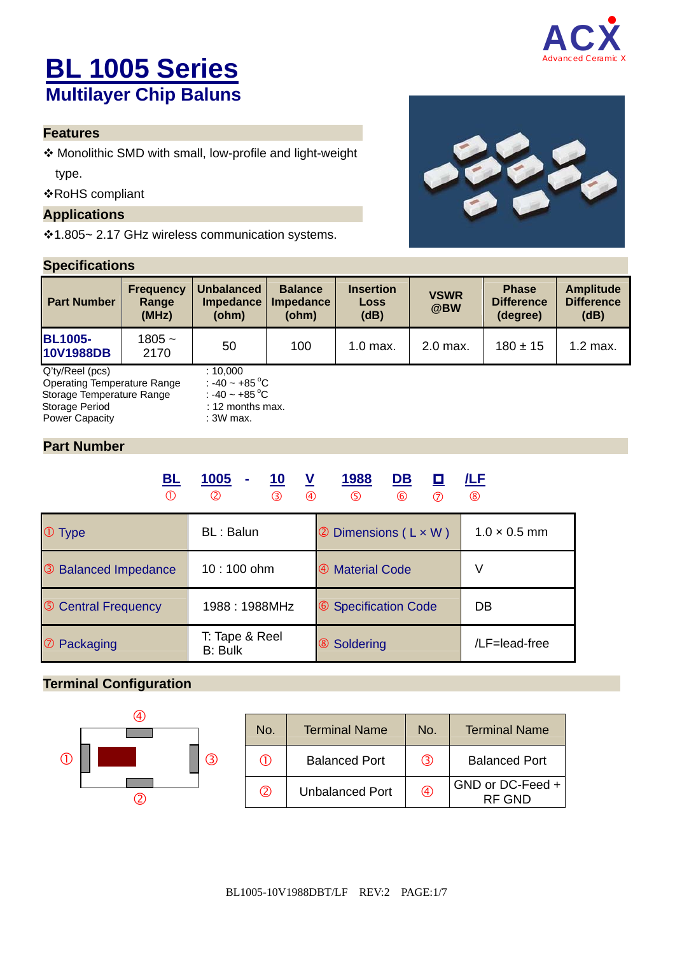

# **BL 1005 Series Multilayer Chip Baluns**

## **Features**

 Monolithic SMD with small, low-profile and light-weight type.

RoHS compliant

#### **Applications**

1.805~ 2.17 GHz wireless communication systems.

## **Specifications**



| <b>Part Number</b>                             | <b>Frequency</b><br>Range<br>(MHz) | <b>Unbalanced</b><br><b>Impedance</b><br>(ohm) | <b>Balance</b><br><b>Impedance</b><br>(ohm) | <b>Insertion</b><br>Loss<br>(dB) | <b>VSWR</b><br>@BW | <b>Phase</b><br><b>Difference</b><br>(degree) | <b>Amplitude</b><br><b>Difference</b><br>(dB) |  |
|------------------------------------------------|------------------------------------|------------------------------------------------|---------------------------------------------|----------------------------------|--------------------|-----------------------------------------------|-----------------------------------------------|--|
| <b>BL1005-</b><br>10V1988DB                    | $1805 -$<br>2170                   | 50                                             | 100                                         | $1.0$ max.                       | 2.0 max.           | $180 \pm 15$                                  | $1.2$ max.                                    |  |
| Q'ty/Reel (pcs)<br>Operating Temperature Range |                                    | :10.000<br>: -40 ~ +85 $^{\circ}$ C            |                                             |                                  |                    |                                               |                                               |  |

Storage Temperature Range  $\overline{\phantom{a}}$  : -40 ~ +85 °C Storage Period : 12 months max.<br>
Power Capacity : 12 months max.<br>  $\frac{12 \text{ months}}{300 \text{ max}}$ Power Capacity

#### **Part Number**

|          | <u>BL</u> | 1005<br>$\sim$<br>(2) | 10<br>$\circled{3}$ | <b>V</b><br>$\circled{4}$ | <u> 1988</u><br>(5)  | DB<br>டு | <b>D</b> | /LF<br>(8)          |
|----------|-----------|-----------------------|---------------------|---------------------------|----------------------|----------|----------|---------------------|
| $①$ Type |           | <b>BL: Balun</b>      |                     |                           | 2 Dimensions (L x W) |          |          | $1.0 \times 0.5$ mm |

| 10:100 ohm<br>3 Balanced Impedance |                           | 4 Material Code      |               |
|------------------------------------|---------------------------|----------------------|---------------|
| <b>5 Central Frequency</b>         | 1988: 1988MHz             | 6 Specification Code | DB            |
| <b>D</b> Packaging                 | T: Tape & Reel<br>B: Bulk | <b>8</b> Soldering   | /LF=lead-free |

## **Terminal Configuration**



| No.           | <b>Terminal Name</b>   | No. | <b>Terminal Name</b>       |
|---------------|------------------------|-----|----------------------------|
| (1)           | <b>Balanced Port</b>   | (3) | <b>Balanced Port</b>       |
| $\circled{2}$ | <b>Unbalanced Port</b> | A)  | GND or DC-Feed +<br>RF GND |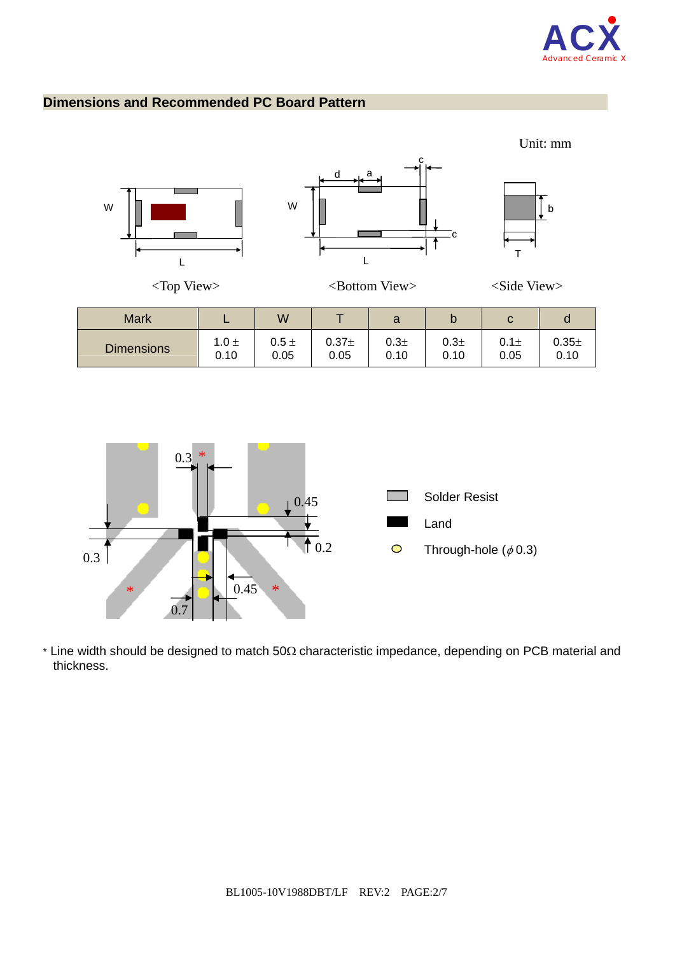

## **Dimensions and Recommended PC Board Pattern**





 $*$  Line width should be designed to match 50 $\Omega$  characteristic impedance, depending on PCB material and thickness.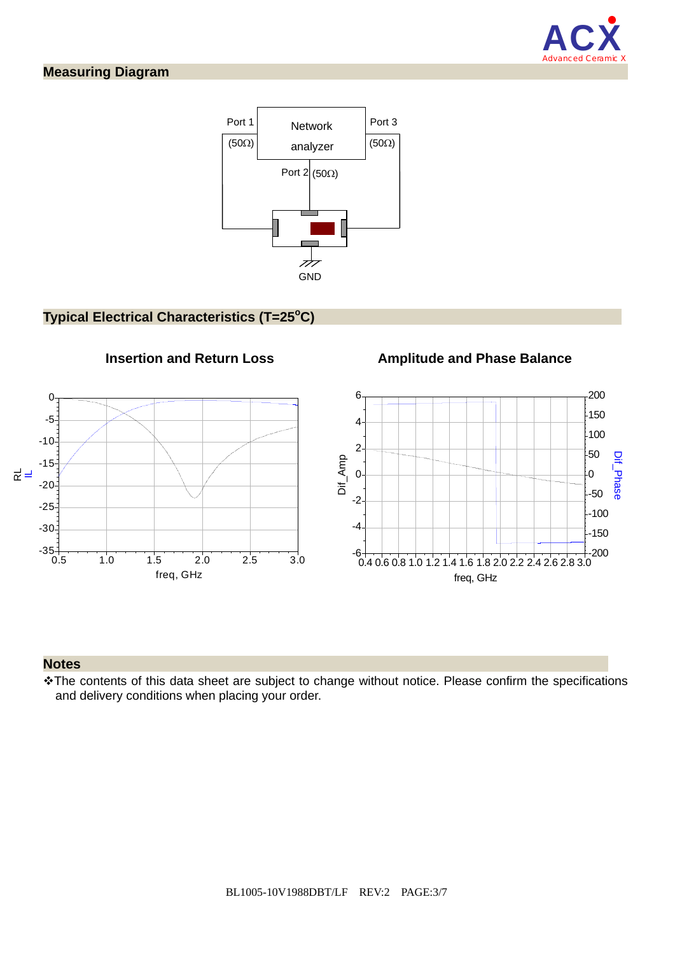

## **Measuring Diagram**



## **Typical Electrical Characteristics (T=25°C)**



## **Notes**

The contents of this data sheet are subject to change without notice. Please confirm the specifications and delivery conditions when placing your order.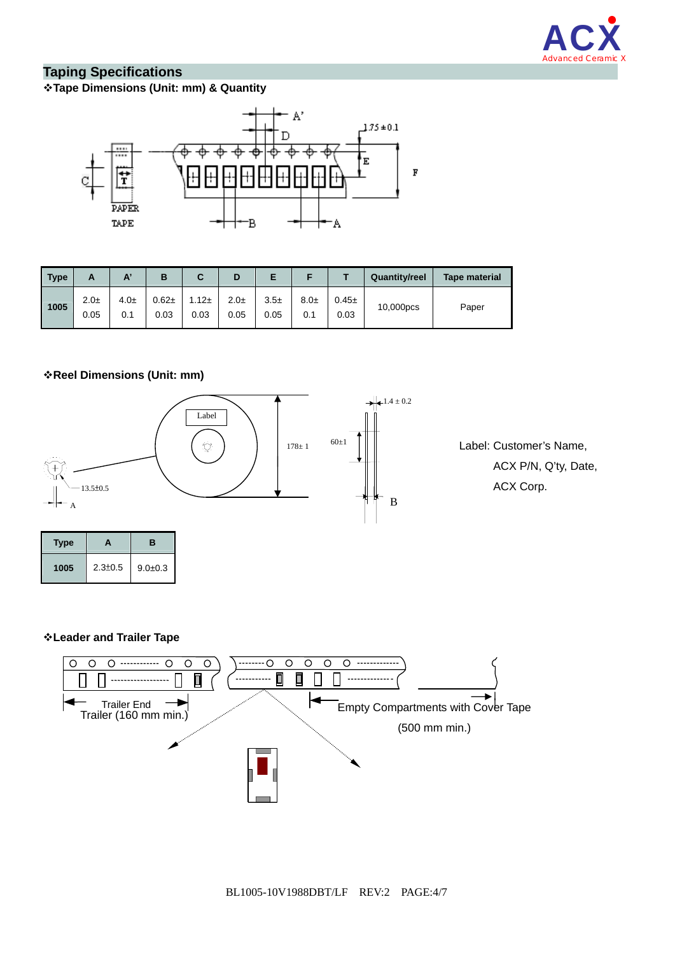

## **Taping Specifications**

#### **Tape Dimensions (Unit: mm) & Quantity**



| Type | А                |                 | в                | С                | D                |                |                 |                    | <b>Quantity/reel</b> | <b>Tape material</b> |
|------|------------------|-----------------|------------------|------------------|------------------|----------------|-----------------|--------------------|----------------------|----------------------|
| 1005 | $2.0\pm$<br>0.05 | $4.0\pm$<br>0.1 | $0.62 +$<br>0.03 | $1.12 +$<br>0.03 | $2.0\pm$<br>0.05 | $3.5+$<br>0.05 | $8.0\pm$<br>0.1 | $0.45 \pm$<br>0.03 | 10,000pcs            | Paper                |

#### **Reel Dimensions (Unit: mm)**

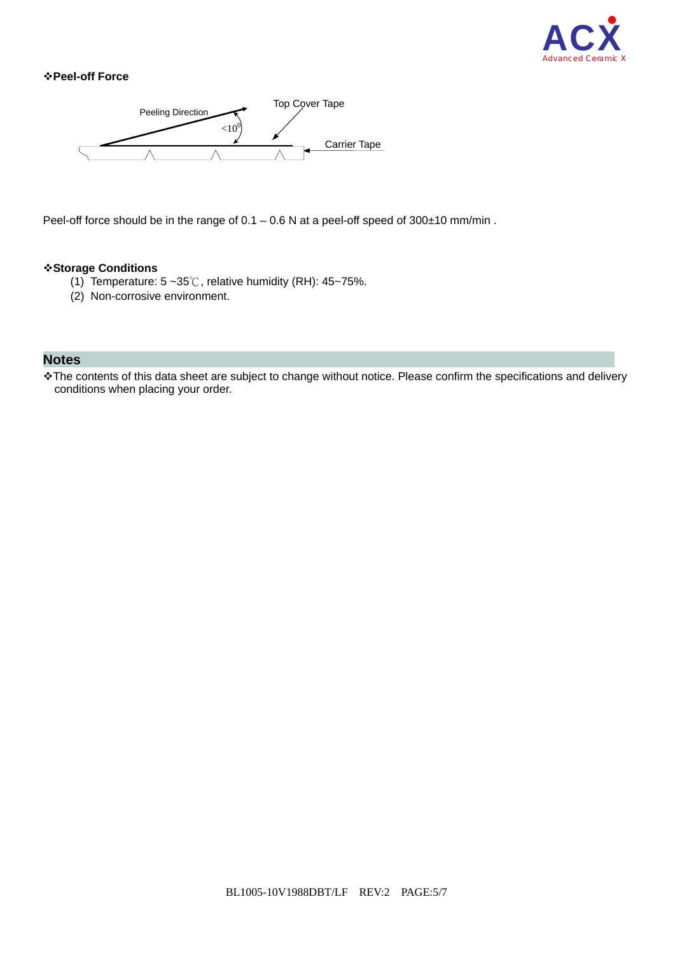

#### **Peel-off Force**



Peel-off force should be in the range of 0.1 – 0.6 N at a peel-off speed of 300±10 mm/min.

#### **Storage Conditions**

- (1) Temperature:  $5 \sim 35^\circ\text{C}$ , relative humidity (RH):  $45 \sim 75\%$ .
- (2) Non-corrosive environment.

#### **Notes**

\* The contents of this data sheet are subject to change without notice. Please confirm the specifications and delivery conditions when placing your order.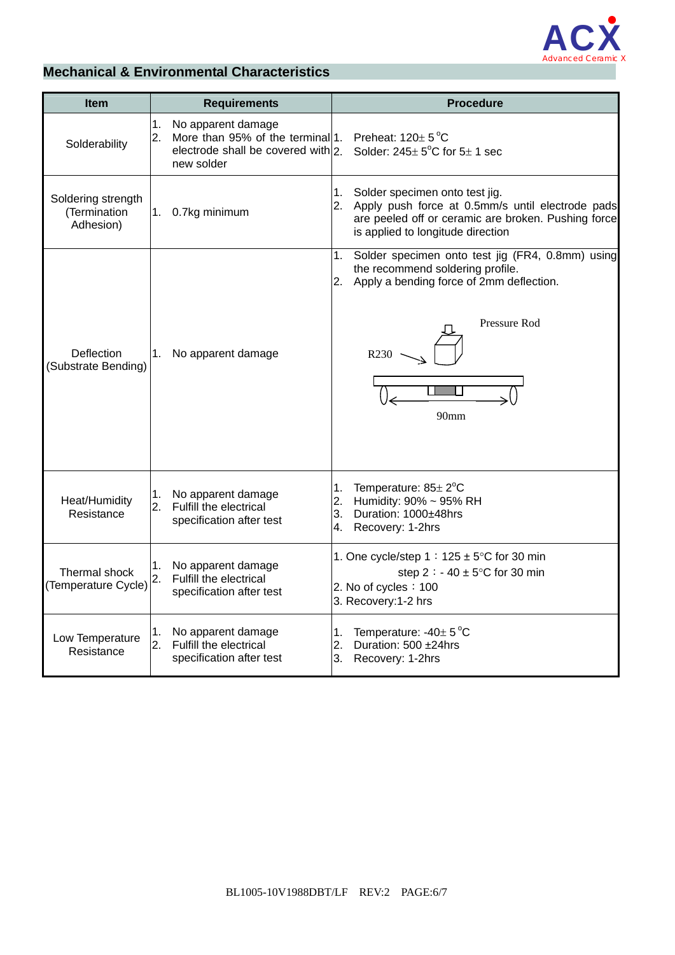

## **Mechanical & Environmental Characteristics**

| <b>Item</b>                                     | <b>Requirements</b> |                                                                                                     | <b>Procedure</b>                                                                                                                                                                         |  |  |  |  |
|-------------------------------------------------|---------------------|-----------------------------------------------------------------------------------------------------|------------------------------------------------------------------------------------------------------------------------------------------------------------------------------------------|--|--|--|--|
| Solderability                                   | 1.<br>2.            | No apparent damage<br>More than 95% of the terminal 1. Preheat: $120 \pm 5^{\circ}$ C<br>new solder | electrode shall be covered with 2. Solder: $245 \pm 5^{\circ}$ C for $5 \pm 1$ sec                                                                                                       |  |  |  |  |
| Soldering strength<br>(Termination<br>Adhesion) |                     | 1. 0.7kg minimum                                                                                    | Solder specimen onto test jig.<br>1.<br>2. Apply push force at 0.5mm/s until electrode pads<br>are peeled off or ceramic are broken. Pushing force<br>is applied to longitude direction  |  |  |  |  |
| <b>Deflection</b><br>(Substrate Bending)        | 1.                  | No apparent damage                                                                                  | Solder specimen onto test jig (FR4, 0.8mm) using<br>1.<br>the recommend soldering profile.<br>Apply a bending force of 2mm deflection.<br>2.<br>Pressure Rod<br>R <sub>230</sub><br>90mm |  |  |  |  |
| Heat/Humidity<br>Resistance                     | 2.                  | 1. No apparent damage<br>Fulfill the electrical<br>specification after test                         | Temperature: $85 \pm 2^{\circ}$ C<br>1.<br>Humidity: 90% ~ 95% RH<br>2.<br>3.<br>Duration: 1000±48hrs<br>Recovery: 1-2hrs<br>4.                                                          |  |  |  |  |
| Thermal shock<br>(Temperature Cycle)            | 1.<br>2.            | No apparent damage<br>Fulfill the electrical<br>specification after test                            | 1. One cycle/step $1:125 \pm 5^{\circ}$ C for 30 min<br>step 2 : - 40 $\pm$ 5°C for 30 min<br>2. No of cycles: 100<br>3. Recovery:1-2 hrs                                                |  |  |  |  |
| Low Temperature<br>Resistance                   | 1.<br>2.            | No apparent damage<br>Fulfill the electrical<br>specification after test                            | Temperature: $-40\pm 5^{\circ}$ C<br>1.<br>Duration: 500 ±24hrs<br>2.<br>3. Recovery: 1-2hrs                                                                                             |  |  |  |  |